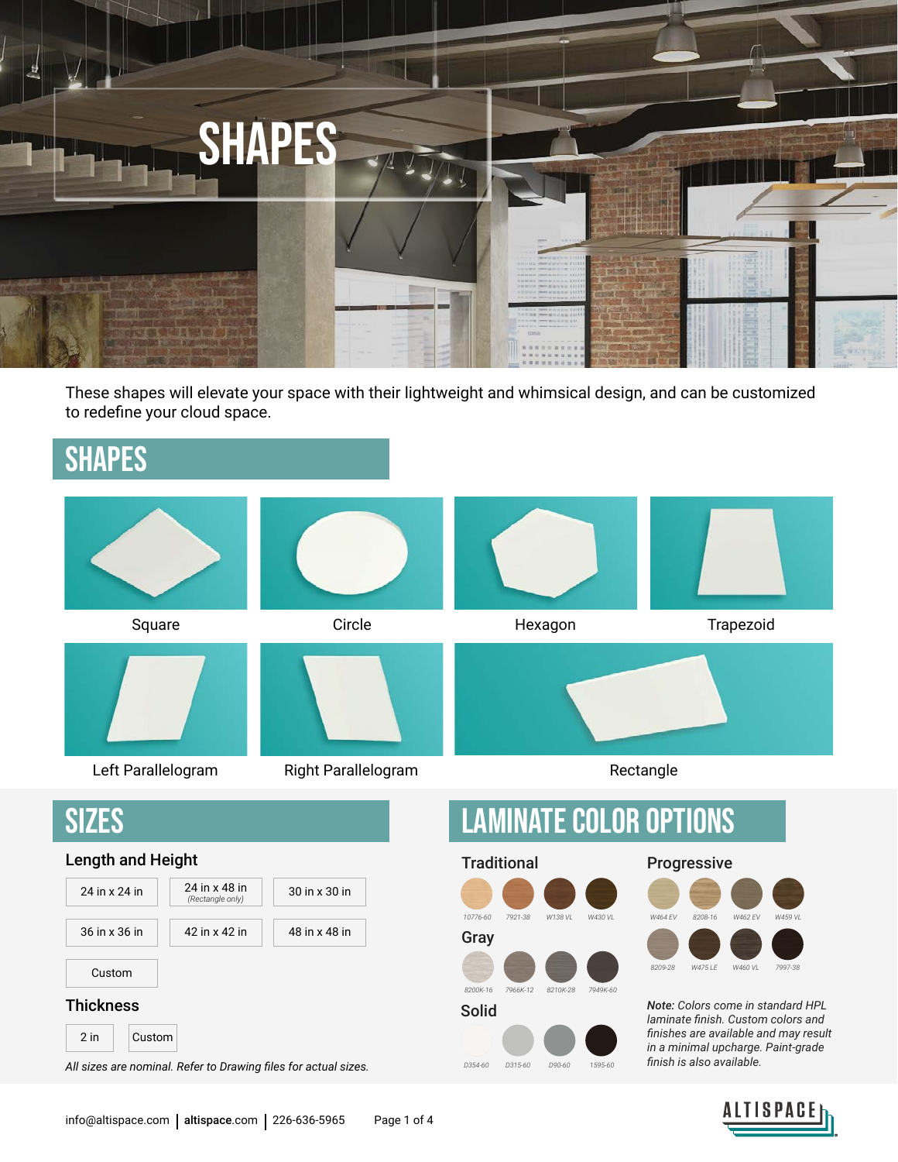

These shapes will elevate your space with their lightweight and whimsical design, and can be customized to redefine your cloud space.

### SHAPES



ALTISPACE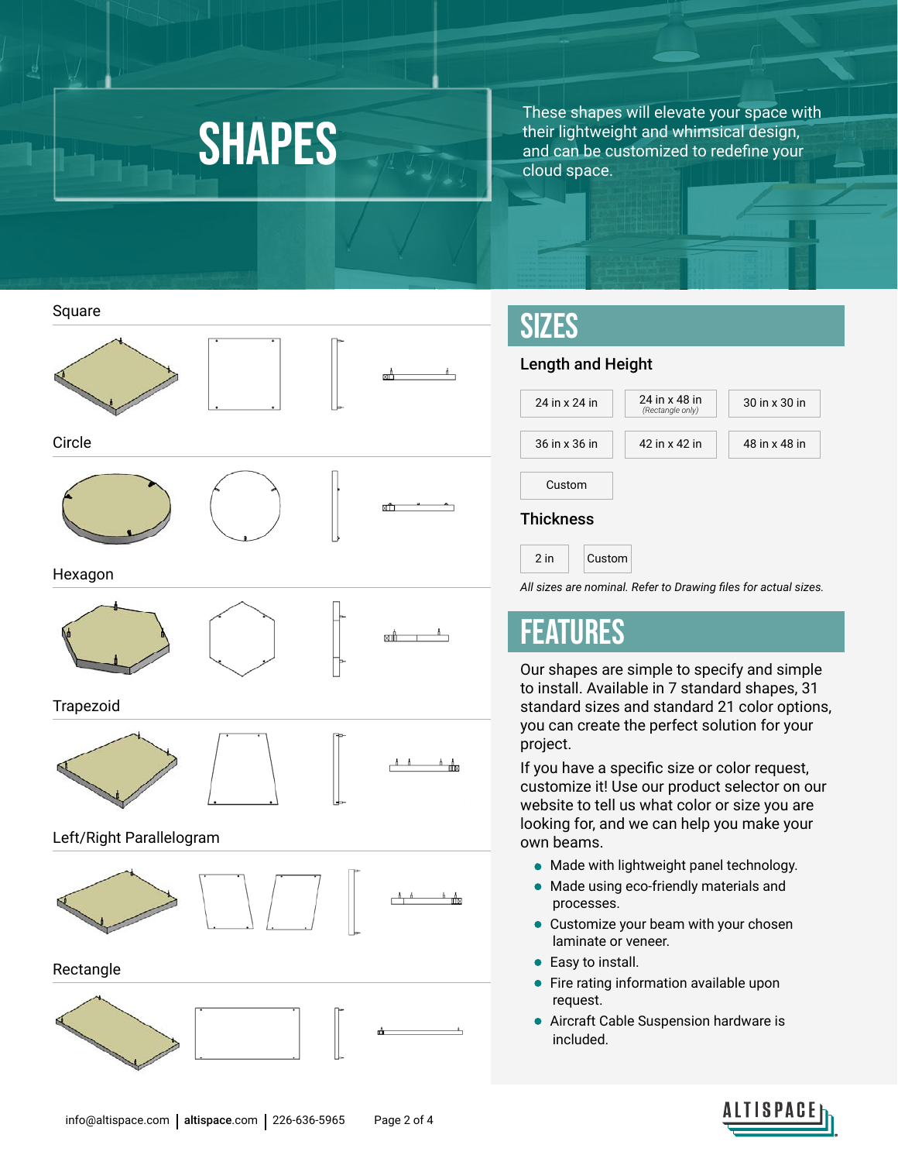These shapes will elevate your space with<br>SHAPES and can be customized to redefine your their lightweight and whimsical design, and can be customized to redefine your cloud space.







#### Trapezoid



#### Left/Right Parallelogram





Rectangle





## SIZES

### Length and Height

| 24 in x 24 in    | 24 in x 48 in<br>(Rectangle only) | 30 in x 30 in |  |  |  |
|------------------|-----------------------------------|---------------|--|--|--|
| 36 in x 36 in    | 42 in x 42 in                     | 48 in x 48 in |  |  |  |
| Custom           |                                   |               |  |  |  |
| <b>Thickness</b> |                                   |               |  |  |  |
| $2$ in<br>Custom |                                   |               |  |  |  |

*All sizes are nominal. Refer to Drawing files for actual sizes.*

### FEATURES

Our shapes are simple to specify and simple to install. Available in 7 standard shapes, 31 standard sizes and standard 21 color options, you can create the perfect solution for your project.

If you have a specific size or color request, customize it! Use our product selector on our website to tell us what color or size you are looking for, and we can help you make your own beams.

- Made with lightweight panel technology.
- Made using eco-friendly materials and processes.
- Customize your beam with your chosen laminate or veneer.
- **•** Easy to install.
- Fire rating information available upon request.
- Aircraft Cable Suspension hardware is included.



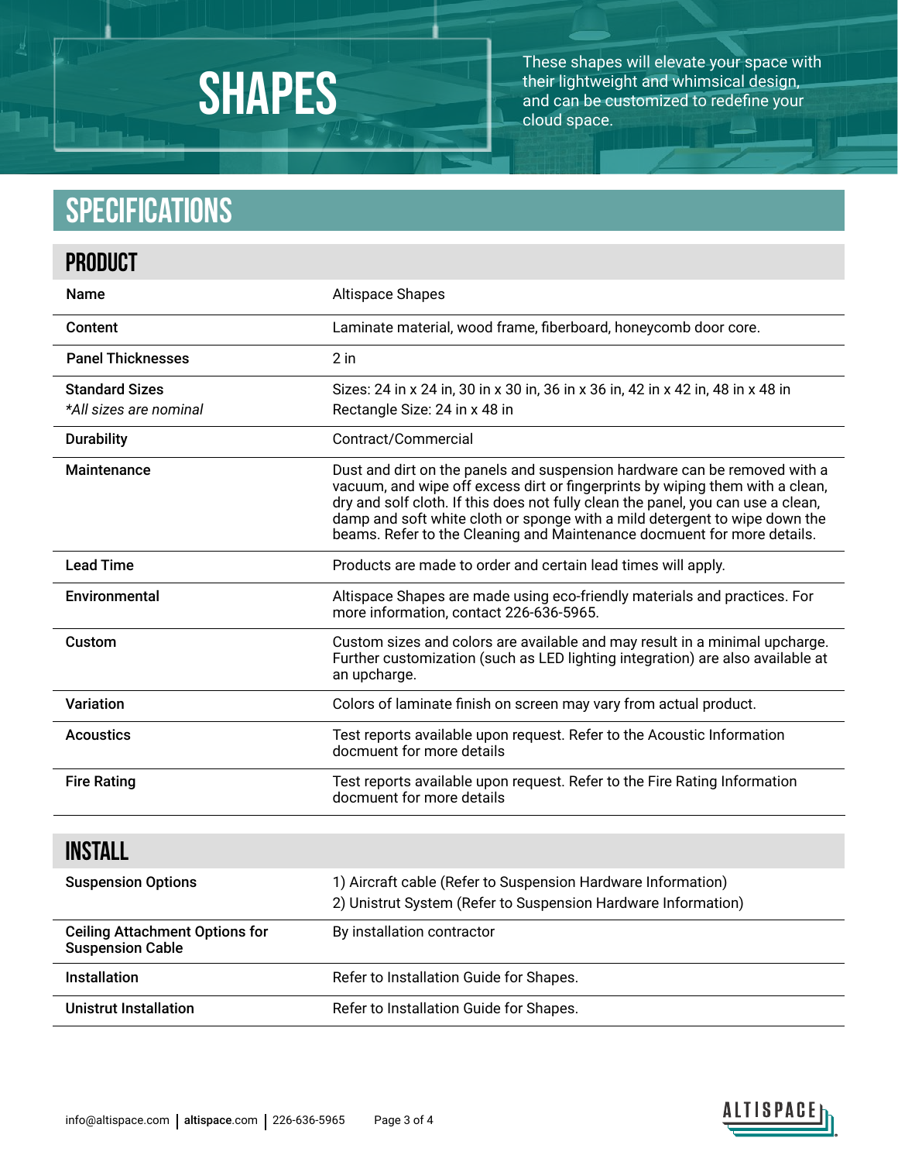

These shapes will elevate your space with their lightweight and whimsical design, and can be customized to redefine your cloud space.

# **Specifications**

| <b>PRODUCT</b>                                                   |                                                                                                                                                                                                                                                                                                                                                                                                         |
|------------------------------------------------------------------|---------------------------------------------------------------------------------------------------------------------------------------------------------------------------------------------------------------------------------------------------------------------------------------------------------------------------------------------------------------------------------------------------------|
| <b>Name</b>                                                      | <b>Altispace Shapes</b>                                                                                                                                                                                                                                                                                                                                                                                 |
| Content                                                          | Laminate material, wood frame, fiberboard, honeycomb door core.                                                                                                                                                                                                                                                                                                                                         |
| <b>Panel Thicknesses</b>                                         | $2$ in                                                                                                                                                                                                                                                                                                                                                                                                  |
| <b>Standard Sizes</b><br>*All sizes are nominal                  | Sizes: 24 in x 24 in, 30 in x 30 in, 36 in x 36 in, 42 in x 42 in, 48 in x 48 in<br>Rectangle Size: 24 in x 48 in                                                                                                                                                                                                                                                                                       |
| <b>Durability</b>                                                | Contract/Commercial                                                                                                                                                                                                                                                                                                                                                                                     |
| Maintenance                                                      | Dust and dirt on the panels and suspension hardware can be removed with a<br>vacuum, and wipe off excess dirt or fingerprints by wiping them with a clean,<br>dry and solf cloth. If this does not fully clean the panel, you can use a clean,<br>damp and soft white cloth or sponge with a mild detergent to wipe down the<br>beams. Refer to the Cleaning and Maintenance docmuent for more details. |
| <b>Lead Time</b>                                                 | Products are made to order and certain lead times will apply.                                                                                                                                                                                                                                                                                                                                           |
| Environmental                                                    | Altispace Shapes are made using eco-friendly materials and practices. For<br>more information, contact 226-636-5965.                                                                                                                                                                                                                                                                                    |
| Custom                                                           | Custom sizes and colors are available and may result in a minimal upcharge.<br>Further customization (such as LED lighting integration) are also available at<br>an upcharge.                                                                                                                                                                                                                           |
| Variation                                                        | Colors of laminate finish on screen may vary from actual product.                                                                                                                                                                                                                                                                                                                                       |
| <b>Acoustics</b>                                                 | Test reports available upon request. Refer to the Acoustic Information<br>docmuent for more details                                                                                                                                                                                                                                                                                                     |
| <b>Fire Rating</b>                                               | Test reports available upon request. Refer to the Fire Rating Information<br>docmuent for more details                                                                                                                                                                                                                                                                                                  |
| <b>INSTALL</b>                                                   |                                                                                                                                                                                                                                                                                                                                                                                                         |
| <b>Suspension Options</b>                                        | 1) Aircraft cable (Refer to Suspension Hardware Information)<br>2) Unistrut System (Refer to Suspension Hardware Information)                                                                                                                                                                                                                                                                           |
| <b>Ceiling Attachment Options for</b><br><b>Suspension Cable</b> | By installation contractor                                                                                                                                                                                                                                                                                                                                                                              |
| Installation                                                     | Refer to Installation Guide for Shapes.                                                                                                                                                                                                                                                                                                                                                                 |
| <b>Unistrut Installation</b>                                     | Refer to Installation Guide for Shapes.                                                                                                                                                                                                                                                                                                                                                                 |